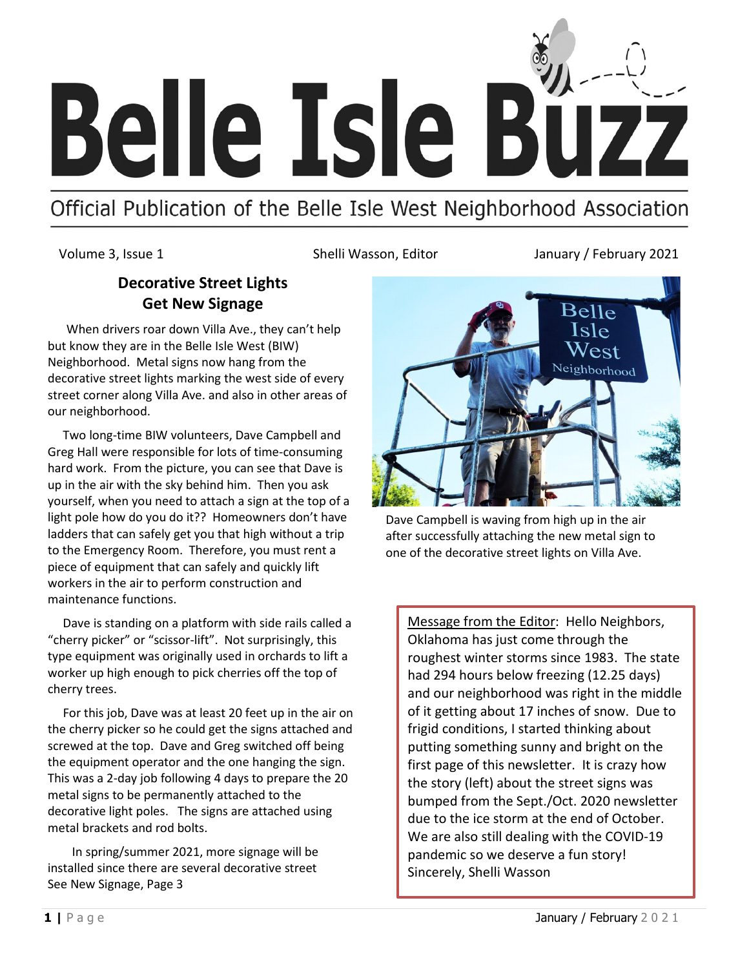

# Official Publication of the Belle Isle West Neighborhood Association

Volume 3, Issue 1 Shelli Wasson, Editor January / February 2021

## **Decorative Street Lights Get New Signage**

 When drivers roar down Villa Ave., they can't help but know they are in the Belle Isle West (BIW) Neighborhood. Metal signs now hang from the decorative street lights marking the west side of every street corner along Villa Ave. and also in other areas of our neighborhood.

 Two long-time BIW volunteers, Dave Campbell and Greg Hall were responsible for lots of time-consuming hard work. From the picture, you can see that Dave is up in the air with the sky behind him. Then you ask yourself, when you need to attach a sign at the top of a light pole how do you do it?? Homeowners don't have ladders that can safely get you that high without a trip to the Emergency Room. Therefore, you must rent a piece of equipment that can safely and quickly lift workers in the air to perform construction and maintenance functions.

 Dave is standing on a platform with side rails called a "cherry picker" or "scissor-lift". Not surprisingly, this type equipment was originally used in orchards to lift a worker up high enough to pick cherries off the top of cherry trees.

 For this job, Dave was at least 20 feet up in the air on the cherry picker so he could get the signs attached and screwed at the top. Dave and Greg switched off being the equipment operator and the one hanging the sign. This was a 2-day job following 4 days to prepare the 20 metal signs to be permanently attached to the decorative light poles. The signs are attached using metal brackets and rod bolts.

 In spring/summer 2021, more signage will be installed since there are several decorative street See New Signage, Page 3



Dave Campbell is waving from high up in the air after successfully attaching the new metal sign to one of the decorative street lights on Villa Ave.

Message from the Editor: Hello Neighbors, Oklahoma has just come through the roughest winter storms since 1983. The state had 294 hours below freezing (12.25 days) and our neighborhood was right in the middle of it getting about 17 inches of snow. Due to frigid conditions, I started thinking about putting something sunny and bright on the first page of this newsletter. It is crazy how the story (left) about the street signs was bumped from the Sept./Oct. 2020 newsletter due to the ice storm at the end of October. We are also still dealing with the COVID-19 pandemic so we deserve a fun story! Sincerely, Shelli Wasson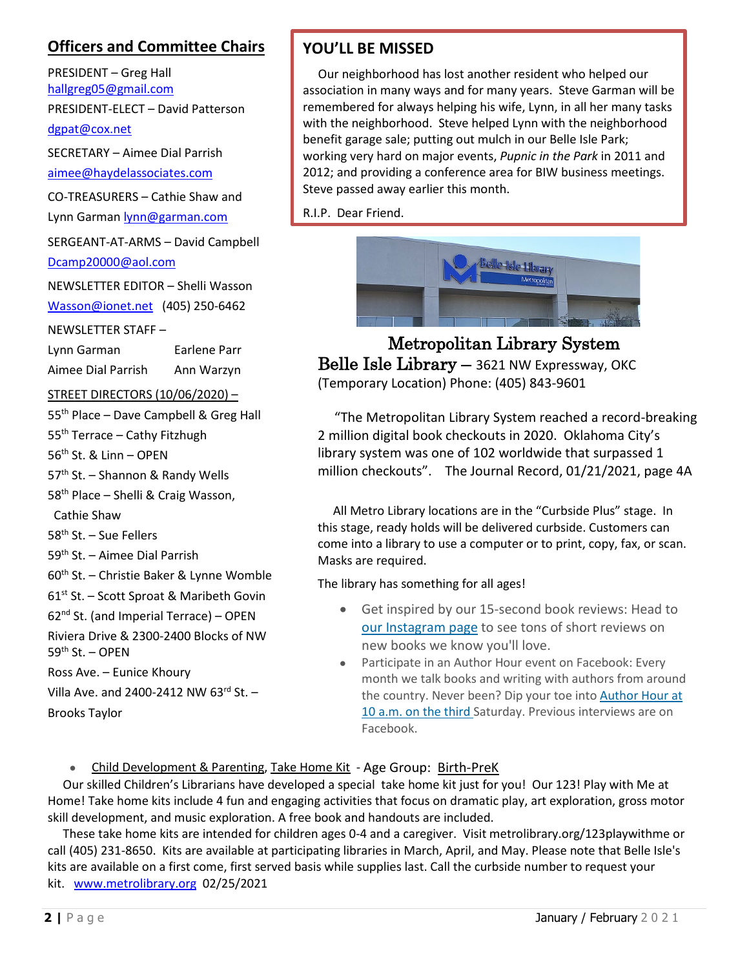## **Officers and Committee Chairs**

PRESIDENT – Greg Hall [hallgreg05@gmail.com](mailto:hallgreg05@gmail.com)

PRESIDENT-ELECT – David Patterson

[dgpat@cox.net](mailto:dgpat@cox.net)

SECRETARY – Aimee Dial Parrish

[aimee@haydelassociates.com](mailto:aimee@haydelassociates.com)

CO-TREASURERS – Cathie Shaw and Lynn Garman [lynn@garman.com](mailto:lynn@garman.com)

SERGEANT-AT-ARMS – David Campbell [Dcamp20000@aol.com](mailto:Dcamp20000@aol.com)

NEWSLETTER EDITOR – Shelli Wasson [Wasson@ionet.net](mailto:Wasson@ionet.net) (405) 250-6462

NEWSLETTER STAFF –

Lynn Garman Earlene Parr

Aimee Dial Parrish Ann Warzyn

STREET DIRECTORS (10/06/2020) –

55<sup>th</sup> Place – Dave Campbell & Greg Hall

55<sup>th</sup> Terrace – Cathy Fitzhugh

56<sup>th</sup> St. & Linn - OPEN

57<sup>th</sup> St. - Shannon & Randy Wells

58<sup>th</sup> Place – Shelli & Craig Wasson,

Cathie Shaw

58th St. – Sue Fellers

59th St. – Aimee Dial Parrish

60th St. – Christie Baker & Lynne Womble

61<sup>st</sup> St. - Scott Sproat & Maribeth Govin

 $62<sup>nd</sup>$  St. (and Imperial Terrace) – OPEN

Riviera Drive & 2300-2400 Blocks of NW  $59<sup>th</sup>$  St. – OPEN

Ross Ave. – Eunice Khoury

Villa Ave. and 2400-2412 NW  $63^{rd}$  St. -

Brooks Taylor

## **YOU'LL BE MISSED**

 Our neighborhood has lost another resident who helped our association in many ways and for many years. Steve Garman will be remembered for always helping his wife, Lynn, in all her many tasks with the neighborhood. Steve helped Lynn with the neighborhood benefit garage sale; putting out mulch in our Belle Isle Park; working very hard on major events, *Pupnic in the Park* in 2011 and 2012; and providing a conference area for BIW business meetings. Steve passed away earlier this month.

R.I.P. Dear Friend.



Metropolitan Library System Belle Isle Library - 3621 NW Expressway, OKC (Temporary Location) Phone: (405) 843-9601

 "The Metropolitan Library System reached a record-breaking 2 million digital book checkouts in 2020. Oklahoma City's library system was one of 102 worldwide that surpassed 1 million checkouts". The Journal Record, 01/21/2021, page 4A

 All Metro Library locations are in the "Curbside Plus" stage. In this stage, ready holds will be delivered curbside. Customers can come into a library to use a computer or to print, copy, fax, or scan. Masks are required.

The library has something for all ages!

- Get inspired by our 15-second book reviews: Head to [our Instagram page](https://connect.omrf.org/owa/,DanaInfo=webmail.omrf.org,SSL+redir.aspx?C=PPxW6rA2J7Cx5aF9MqnncEX8WiLjA41BDm9shrybljiuOePxgdfYCA..&URL=https%3a%2f%2fprotect-us.mimecast.com%2fs%2ffgbhCXDq6qCnAxVmi9KV1z%3fdomain%3demail.librarycustomer.org) to see tons of short reviews on new books we know you'll love.
- Participate in an Author Hour event on Facebook: Every month we talk books and writing with authors from around the country. Never been? Dip your toe into Author Hour at 10 a.m. on the third Saturday. Previous interviews are on Facebook.

• [Child Development & Parenting,](https://www.metrolibrary.org/events/upcoming?program_type%5B133%5D=133&form_id=lc_calendar_upcoming_form) [Take Home Kit](https://www.metrolibrary.org/events/upcoming?program_type%5B3478%5D=3478&form_id=lc_calendar_upcoming_form) - Age Group: Birth-PreK

 Our skilled Children's Librarians have developed a special take home kit just for you! Our 123! Play with Me at Home! Take home kits include 4 fun and engaging activities that focus on dramatic play, art exploration, gross motor skill development, and music exploration. A free book and handouts are included.

 These take home kits are intended for children ages 0-4 and a caregiver. Visit metrolibrary.org/123playwithme or call (405) 231-8650. Kits are available at participating libraries in March, April, and May. Please note that Belle Isle's kits are available on a first come, first served basis while supplies last. Call the curbside number to request your kit. [www.metrolibrary.org](http://www.metrolibrary.org/) 02/25/2021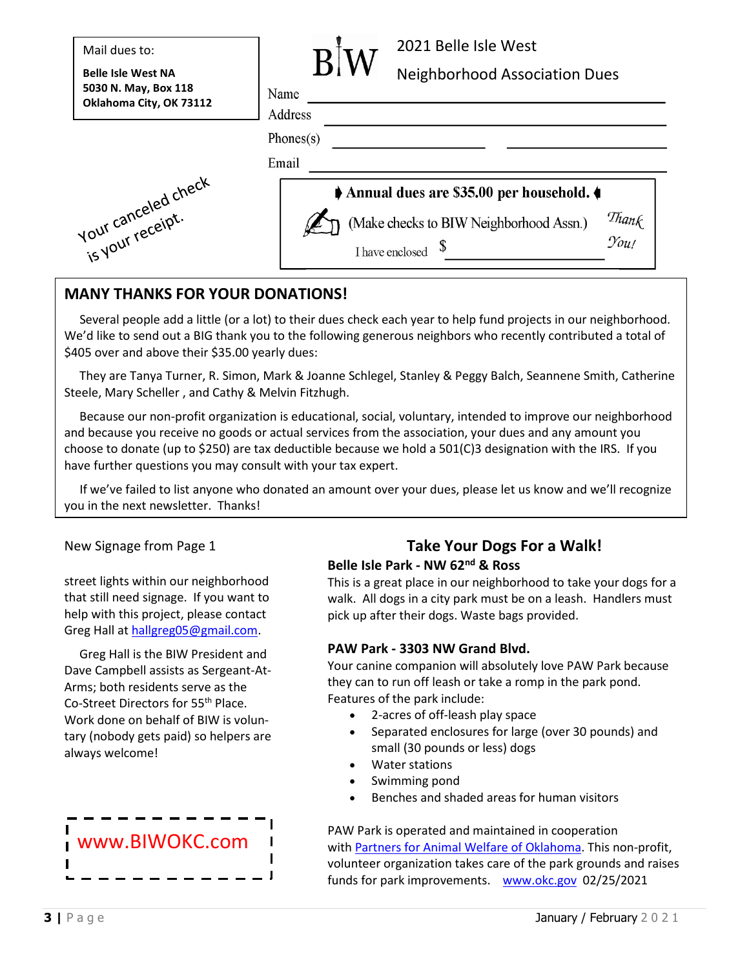| Mail dues to:                                     |                                        | 2021 Belle Isle West                                                                               |
|---------------------------------------------------|----------------------------------------|----------------------------------------------------------------------------------------------------|
| <b>Belle Isle West NA</b><br>5030 N. May, Box 118 | Name                                   | <b>Neighborhood Association Dues</b>                                                               |
| Oklahoma City, OK 73112                           | Address                                |                                                                                                    |
|                                                   | Phones(s)                              |                                                                                                    |
| Email                                             |                                        |                                                                                                    |
|                                                   | Annual dues are \$35.00 per household. |                                                                                                    |
| iour canceled check                               |                                        | Thank<br>(Make checks to BIW Neighborhood Assn.)<br>$\mathcal{Y}_{\mathit{OU}}$<br>I have enclosed |

## **MANY THANKS FOR YOUR DONATIONS!**

 Several people add a little (or a lot) to their dues check each year to help fund projects in our neighborhood. We'd like to send out a BIG thank you to the following generous neighbors who recently contributed a total of \$405 over and above their \$35.00 yearly dues:

 They are Tanya Turner, R. Simon, Mark & Joanne Schlegel, Stanley & Peggy Balch, Seannene Smith, Catherine Steele, Mary Scheller , and Cathy & Melvin Fitzhugh.

 Because our non-profit organization is educational, social, voluntary, intended to improve our neighborhood and because you receive no goods or actual services from the association, your dues and any amount you choose to donate (up to \$250) are tax deductible because we hold a 501(C)3 designation with the IRS. If you have further questions you may consult with your tax expert.

 If we've failed to list anyone who donated an amount over your dues, please let us know and we'll recognize you in the next newsletter. Thanks!

#### New Signage from Page 1

street lights within our neighborhood that still need signage. If you want to help with this project, please contact Greg Hall a[t hallgreg05@gmail.com.](mailto:hallgreg05@gmail.com)

 Greg Hall is the BIW President and Dave Campbell assists as Sergeant-At-Arms; both residents serve as the Co-Street Directors for 55th Place. Work done on behalf of BIW is voluntary (nobody gets paid) so helpers are always welcome!



#### **Take Your Dogs For a Walk! Belle Isle Park - NW 62nd & Ross**

This is a great place in our neighborhood to take your dogs for a walk. All dogs in a city park must be on a leash. Handlers must pick up after their dogs. Waste bags provided.

#### **PAW Park - [3303 NW Grand Blvd.](https://www.google.com/maps/place/Hefner+Paw+Park+Dog+Park/@35.5435856,-97.575532,17z/data=!4m13!1m7!3m6!1s0x87b21afc25bd1ea7:0xea7771b0e91e78df!2s7600+Grand+Dr,+Oklahoma+City,+OK+73116!3b1!8m2!3d35.5435813!4d-97.5733433!3m4!1s0x0000000000000000:0x9fe502cda0ce4852!8m2!3d35.5470376!4d-97.575212)**

Your canine companion will absolutely love PAW Park because they can to run off leash or take a romp in the park pond. Features of the park include:

- 2-acres of off-leash play space
- Separated enclosures for large (over 30 pounds) and small (30 pounds or less) dogs
- Water stations
- Swimming pond
- Benches and shaded areas for human visitors

PAW Park is operated and maintained in cooperation with [Partners for Animal Welfare of Oklahoma.](http://pawok.com/) This non-profit, volunteer organization takes care of the park grounds and raises funds for park improvements. [www.okc.gov](http://www.okc.gov/) 02/25/2021